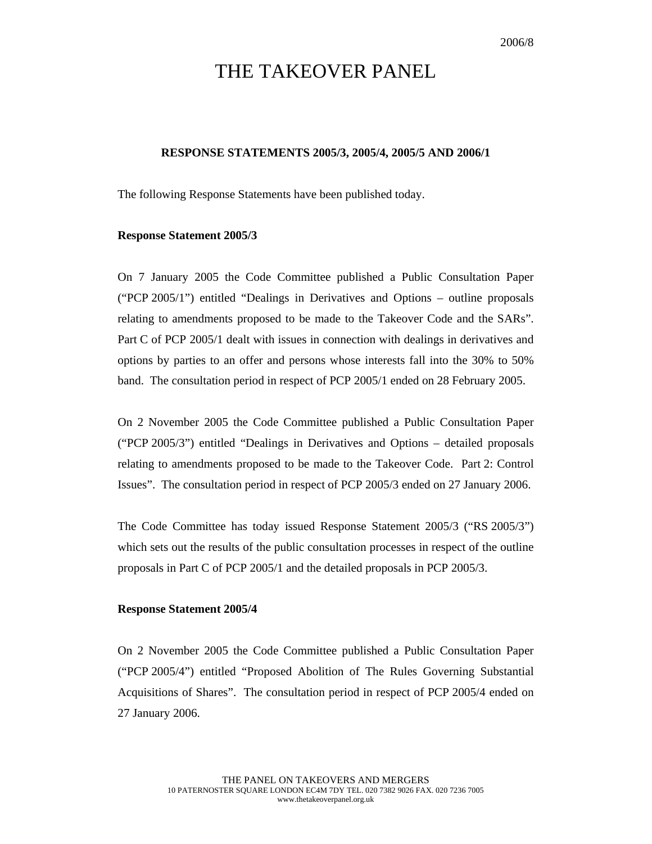# THE TAKEOVER PANEL

## **RESPONSE STATEMENTS 2005/3, 2005/4, 2005/5 AND 2006/1**

The following Response Statements have been published today.

#### **Response Statement 2005/3**

On 7 January 2005 the Code Committee published a Public Consultation Paper ("PCP 2005/1") entitled "Dealings in Derivatives and Options – outline proposals relating to amendments proposed to be made to the Takeover Code and the SARs". Part C of PCP 2005/1 dealt with issues in connection with dealings in derivatives and options by parties to an offer and persons whose interests fall into the 30% to 50% band. The consultation period in respect of PCP 2005/1 ended on 28 February 2005.

On 2 November 2005 the Code Committee published a Public Consultation Paper ("PCP 2005/3") entitled "Dealings in Derivatives and Options – detailed proposals relating to amendments proposed to be made to the Takeover Code. Part 2: Control Issues". The consultation period in respect of PCP 2005/3 ended on 27 January 2006.

The Code Committee has today issued Response Statement 2005/3 ("RS 2005/3") which sets out the results of the public consultation processes in respect of the outline proposals in Part C of PCP 2005/1 and the detailed proposals in PCP 2005/3.

### **Response Statement 2005/4**

On 2 November 2005 the Code Committee published a Public Consultation Paper ("PCP 2005/4") entitled "Proposed Abolition of The Rules Governing Substantial Acquisitions of Shares". The consultation period in respect of PCP 2005/4 ended on 27 January 2006.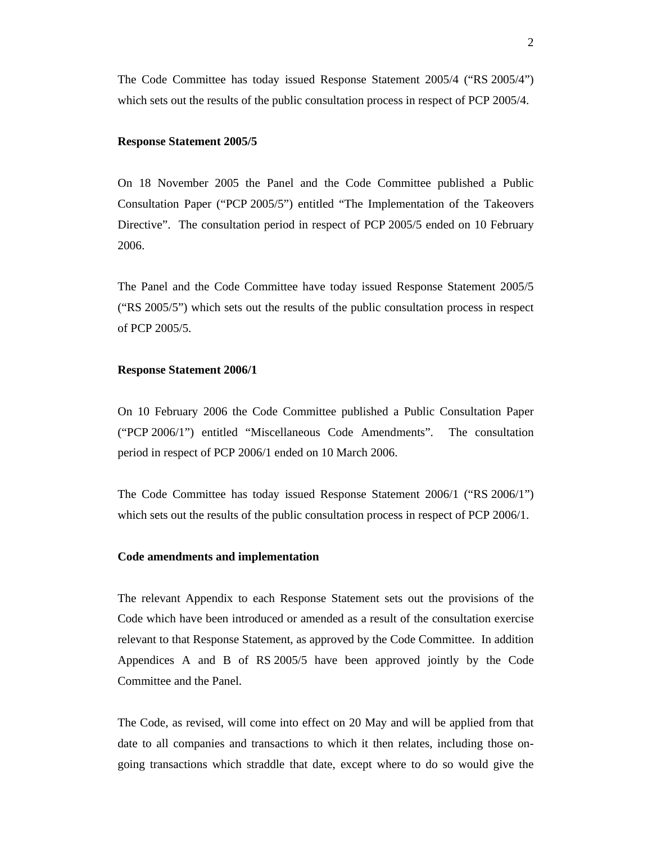The Code Committee has today issued Response Statement 2005/4 ("RS 2005/4") which sets out the results of the public consultation process in respect of PCP 2005/4.

#### **Response Statement 2005/5**

On 18 November 2005 the Panel and the Code Committee published a Public Consultation Paper ("PCP 2005/5") entitled "The Implementation of the Takeovers Directive". The consultation period in respect of PCP 2005/5 ended on 10 February 2006.

The Panel and the Code Committee have today issued Response Statement 2005/5 ("RS 2005/5") which sets out the results of the public consultation process in respect of PCP 2005/5.

#### **Response Statement 2006/1**

On 10 February 2006 the Code Committee published a Public Consultation Paper ("PCP 2006/1") entitled "Miscellaneous Code Amendments". The consultation period in respect of PCP 2006/1 ended on 10 March 2006.

The Code Committee has today issued Response Statement 2006/1 ("RS 2006/1") which sets out the results of the public consultation process in respect of PCP 2006/1.

## **Code amendments and implementation**

The relevant Appendix to each Response Statement sets out the provisions of the Code which have been introduced or amended as a result of the consultation exercise relevant to that Response Statement, as approved by the Code Committee. In addition Appendices A and B of RS 2005/5 have been approved jointly by the Code Committee and the Panel.

The Code, as revised, will come into effect on 20 May and will be applied from that date to all companies and transactions to which it then relates, including those ongoing transactions which straddle that date, except where to do so would give the